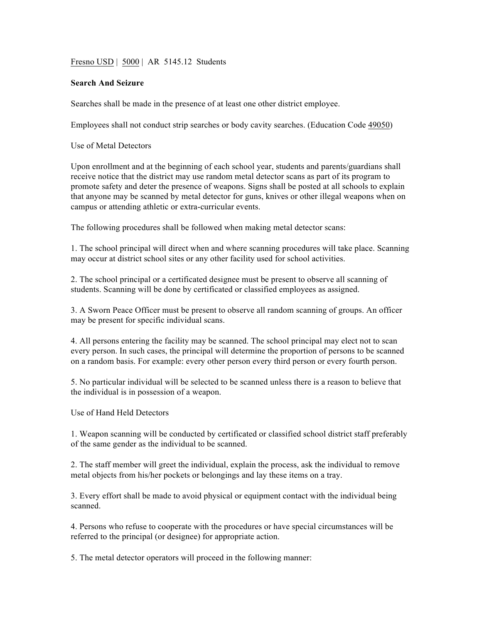Fresno USD | 5000 | AR 5145.12 Students

## **Search And Seizure**

Searches shall be made in the presence of at least one other district employee.

Employees shall not conduct strip searches or body cavity searches. (Education Code 49050)

Use of Metal Detectors

Upon enrollment and at the beginning of each school year, students and parents/guardians shall receive notice that the district may use random metal detector scans as part of its program to promote safety and deter the presence of weapons. Signs shall be posted at all schools to explain that anyone may be scanned by metal detector for guns, knives or other illegal weapons when on campus or attending athletic or extra-curricular events.

The following procedures shall be followed when making metal detector scans:

1. The school principal will direct when and where scanning procedures will take place. Scanning may occur at district school sites or any other facility used for school activities.

2. The school principal or a certificated designee must be present to observe all scanning of students. Scanning will be done by certificated or classified employees as assigned.

3. A Sworn Peace Officer must be present to observe all random scanning of groups. An officer may be present for specific individual scans.

4. All persons entering the facility may be scanned. The school principal may elect not to scan every person. In such cases, the principal will determine the proportion of persons to be scanned on a random basis. For example: every other person every third person or every fourth person.

5. No particular individual will be selected to be scanned unless there is a reason to believe that the individual is in possession of a weapon.

Use of Hand Held Detectors

1. Weapon scanning will be conducted by certificated or classified school district staff preferably of the same gender as the individual to be scanned.

2. The staff member will greet the individual, explain the process, ask the individual to remove metal objects from his/her pockets or belongings and lay these items on a tray.

3. Every effort shall be made to avoid physical or equipment contact with the individual being scanned.

4. Persons who refuse to cooperate with the procedures or have special circumstances will be referred to the principal (or designee) for appropriate action.

5. The metal detector operators will proceed in the following manner: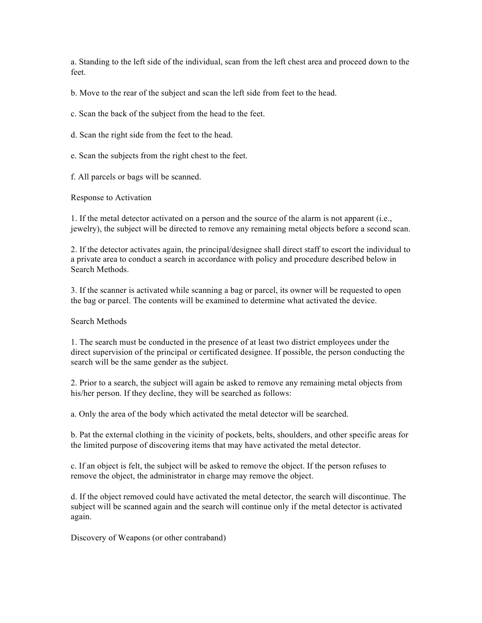a. Standing to the left side of the individual, scan from the left chest area and proceed down to the feet.

b. Move to the rear of the subject and scan the left side from feet to the head.

c. Scan the back of the subject from the head to the feet.

d. Scan the right side from the feet to the head.

e. Scan the subjects from the right chest to the feet.

f. All parcels or bags will be scanned.

Response to Activation

1. If the metal detector activated on a person and the source of the alarm is not apparent (i.e., jewelry), the subject will be directed to remove any remaining metal objects before a second scan.

2. If the detector activates again, the principal/designee shall direct staff to escort the individual to a private area to conduct a search in accordance with policy and procedure described below in Search Methods.

3. If the scanner is activated while scanning a bag or parcel, its owner will be requested to open the bag or parcel. The contents will be examined to determine what activated the device.

Search Methods

1. The search must be conducted in the presence of at least two district employees under the direct supervision of the principal or certificated designee. If possible, the person conducting the search will be the same gender as the subject.

2. Prior to a search, the subject will again be asked to remove any remaining metal objects from his/her person. If they decline, they will be searched as follows:

a. Only the area of the body which activated the metal detector will be searched.

b. Pat the external clothing in the vicinity of pockets, belts, shoulders, and other specific areas for the limited purpose of discovering items that may have activated the metal detector.

c. If an object is felt, the subject will be asked to remove the object. If the person refuses to remove the object, the administrator in charge may remove the object.

d. If the object removed could have activated the metal detector, the search will discontinue. The subject will be scanned again and the search will continue only if the metal detector is activated again.

Discovery of Weapons (or other contraband)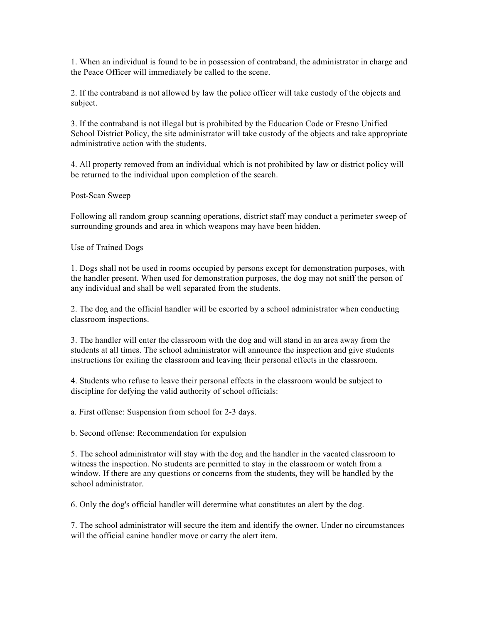1. When an individual is found to be in possession of contraband, the administrator in charge and the Peace Officer will immediately be called to the scene.

2. If the contraband is not allowed by law the police officer will take custody of the objects and subject.

3. If the contraband is not illegal but is prohibited by the Education Code or Fresno Unified School District Policy, the site administrator will take custody of the objects and take appropriate administrative action with the students.

4. All property removed from an individual which is not prohibited by law or district policy will be returned to the individual upon completion of the search.

Post-Scan Sweep

Following all random group scanning operations, district staff may conduct a perimeter sweep of surrounding grounds and area in which weapons may have been hidden.

Use of Trained Dogs

1. Dogs shall not be used in rooms occupied by persons except for demonstration purposes, with the handler present. When used for demonstration purposes, the dog may not sniff the person of any individual and shall be well separated from the students.

2. The dog and the official handler will be escorted by a school administrator when conducting classroom inspections.

3. The handler will enter the classroom with the dog and will stand in an area away from the students at all times. The school administrator will announce the inspection and give students instructions for exiting the classroom and leaving their personal effects in the classroom.

4. Students who refuse to leave their personal effects in the classroom would be subject to discipline for defying the valid authority of school officials:

a. First offense: Suspension from school for 2-3 days.

b. Second offense: Recommendation for expulsion

5. The school administrator will stay with the dog and the handler in the vacated classroom to witness the inspection. No students are permitted to stay in the classroom or watch from a window. If there are any questions or concerns from the students, they will be handled by the school administrator.

6. Only the dog's official handler will determine what constitutes an alert by the dog.

7. The school administrator will secure the item and identify the owner. Under no circumstances will the official canine handler move or carry the alert item.